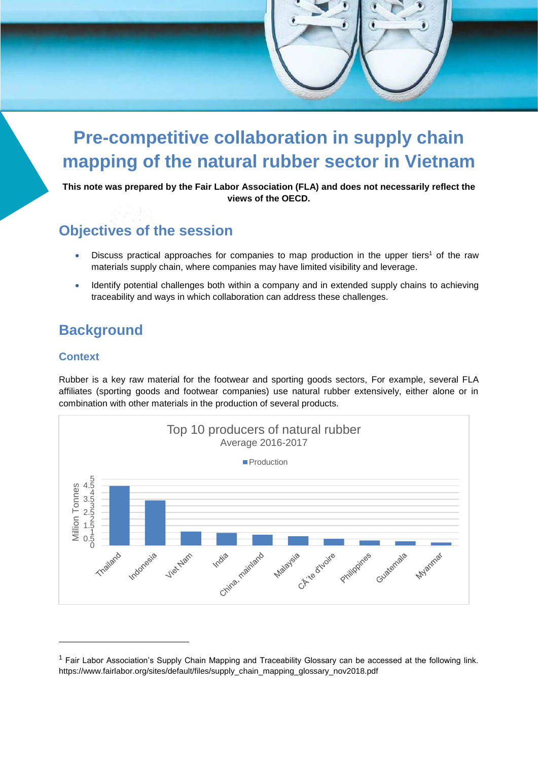# **Pre-competitive collaboration in supply chain mapping of the natural rubber sector in Vietnam**

**This note was prepared by the Fair Labor Association (FLA) and does not necessarily reflect the views of the OECD.**

# **Objectives of the session**

- Discuss practical approaches for companies to map production in the upper tiers<sup>1</sup> of the raw materials supply chain, where companies may have limited visibility and leverage.
- Identify potential challenges both within a company and in extended supply chains to achieving traceability and ways in which collaboration can address these challenges.

# **Background**

### **Context**

Rubber is a key raw material for the footwear and sporting goods sectors, For example, several FLA affiliates (sporting goods and footwear companies) use natural rubber extensively, either alone or in combination with other materials in the production of several products.



<sup>&</sup>lt;sup>1</sup> Fair Labor Association's Supply Chain Mapping and Traceability Glossary can be accessed at the following link. https://www.fairlabor.org/sites/default/files/supply\_chain\_mapping\_glossary\_nov2018.pdf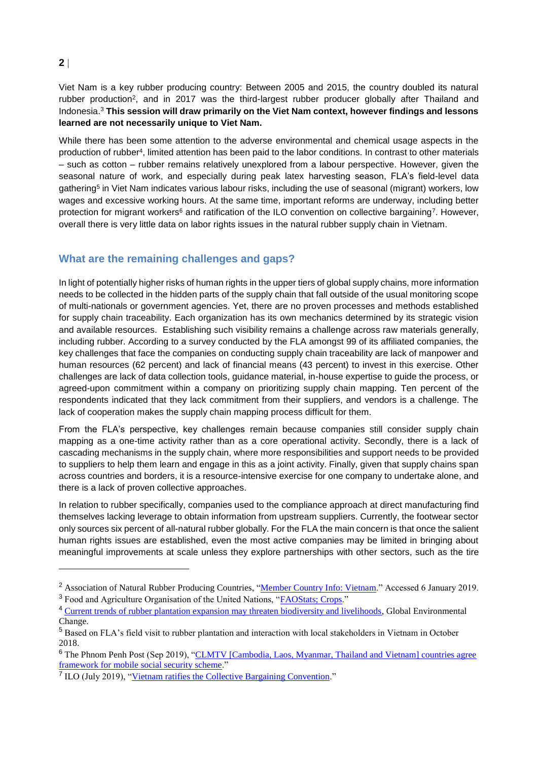## **2**

 $\overline{a}$ 

Viet Nam is a key rubber producing country: Between 2005 and 2015, the country doubled its natural rubber production<sup>2</sup>, and in 2017 was the third-largest rubber producer globally after Thailand and Indonesia.<sup>3</sup> **This session will draw primarily on the Viet Nam context, however findings and lessons learned are not necessarily unique to Viet Nam.** 

While there has been some attention to the adverse environmental and chemical usage aspects in the production of rubber<sup>4</sup>, limited attention has been paid to the labor conditions. In contrast to other materials – such as cotton – rubber remains relatively unexplored from a labour perspective. However, given the seasonal nature of work, and especially during peak latex harvesting season, FLA's field-level data gathering<sup>5</sup> in Viet Nam indicates various labour risks, including the use of seasonal (migrant) workers, low wages and excessive working hours. At the same time, important reforms are underway, including better protection for migrant workers<sup>6</sup> and ratification of the ILO convention on collective bargaining<sup>7</sup>. However, overall there is very little data on labor rights issues in the natural rubber supply chain in Vietnam.

## **What are the remaining challenges and gaps?**

In light of potentially higher risks of human rights in the upper tiers of global supply chains, more information needs to be collected in the hidden parts of the supply chain that fall outside of the usual monitoring scope of multi-nationals or government agencies. Yet, there are no proven processes and methods established for supply chain traceability. Each organization has its own mechanics determined by its strategic vision and available resources. Establishing such visibility remains a challenge across raw materials generally, including rubber. According to a survey conducted by the FLA amongst 99 of its affiliated companies, the key challenges that face the companies on conducting supply chain traceability are lack of manpower and human resources (62 percent) and lack of financial means (43 percent) to invest in this exercise. Other challenges are lack of data collection tools, guidance material, in-house expertise to guide the process, or agreed-upon commitment within a company on prioritizing supply chain mapping. Ten percent of the respondents indicated that they lack commitment from their suppliers, and vendors is a challenge. The lack of cooperation makes the supply chain mapping process difficult for them.

From the FLA's perspective, key challenges remain because companies still consider supply chain mapping as a one-time activity rather than as a core operational activity. Secondly, there is a lack of cascading mechanisms in the supply chain, where more responsibilities and support needs to be provided to suppliers to help them learn and engage in this as a joint activity. Finally, given that supply chains span across countries and borders, it is a resource-intensive exercise for one company to undertake alone, and there is a lack of proven collective approaches.

In relation to rubber specifically, companies used to the compliance approach at direct manufacturing find themselves lacking leverage to obtain information from upstream suppliers. Currently, the footwear sector only sources six percent of all-natural rubber globally. For the FLA the main concern is that once the salient human rights issues are established, even the most active companies may be limited in bringing about meaningful improvements at scale unless they explore partnerships with other sectors, such as the tire

<sup>&</sup>lt;sup>2</sup> Association of Natural Rubber Producing Countries, ["Member Country Info: Vietnam.](http://www.anrpc.org/html/member-coutry-info.aspx?ID=81&PID=82)" Accessed 6 January 2019. <sup>3</sup> Food and Agriculture Organisation of the United Nations, "**FAOStats**; Crops."

<sup>&</sup>lt;sup>4</sup> [Current trends of rubber plantation expansion may threaten biodiversity and livelihoods,](https://www.sciencedirect.com/science/article/abs/pii/S0959378015000801?via%3Dihub) Global Environmental Change.

<sup>5</sup> Based on FLA's field visit to rubber plantation and interaction with local stakeholders in Vietnam in October 2018.

<sup>&</sup>lt;sup>6</sup> The Phnom Penh Post (Sep 2019), "CLMTV [Cambodia, Laos, Myanmar, Thailand and Vietnam] countries agree [framework for mobile social security scheme.](https://www.phnompenhpost.com/national/clmtv-countries-agree-framework-mobile-social-security-scheme-0)"

<sup>&</sup>lt;sup>7</sup> ILO (July 2019), ["Vietnam ratifies the Collective Bargaining Convention.](https://www.ilo.org/global/standards/subjects-covered-by-international-labour-standards/collective-bargaining/WCMS_713933/lang--en/index.htm)"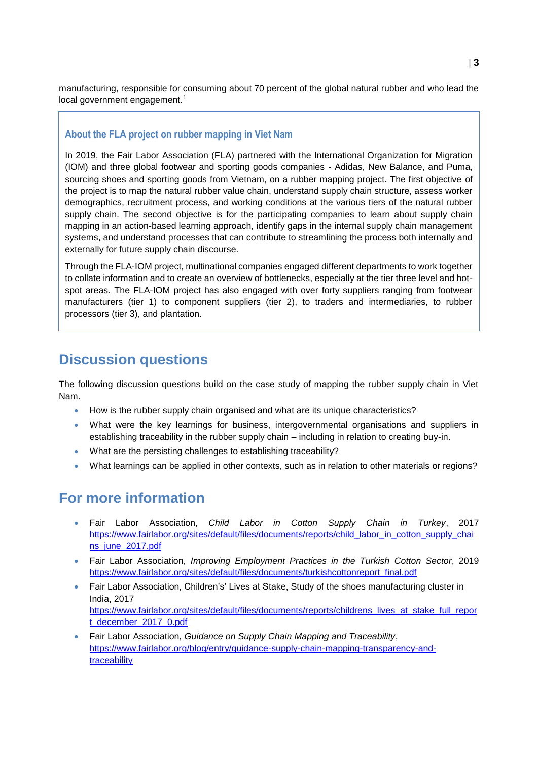manufacturing, responsible for consuming about 70 percent of the global natural rubber and who lead the  $local$  government engagement. $1$ 

### **About the FLA project on rubber mapping in Viet Nam**

In 2019, the Fair Labor Association (FLA) partnered with the International Organization for Migration (IOM) and three global footwear and sporting goods companies - Adidas, New Balance, and Puma, sourcing shoes and sporting goods from Vietnam, on a rubber mapping project. The first objective of the project is to map the natural rubber value chain, understand supply chain structure, assess worker demographics, recruitment process, and working conditions at the various tiers of the natural rubber supply chain. The second objective is for the participating companies to learn about supply chain mapping in an action-based learning approach, identify gaps in the internal supply chain management systems, and understand processes that can contribute to streamlining the process both internally and externally for future supply chain discourse.

Through the FLA-IOM project, multinational companies engaged different departments to work together to collate information and to create an overview of bottlenecks, especially at the tier three level and hotspot areas. The FLA-IOM project has also engaged with over forty suppliers ranging from footwear manufacturers (tier 1) to component suppliers (tier 2), to traders and intermediaries, to rubber processors (tier 3), and plantation.

# **Discussion questions**

The following discussion questions build on the case study of mapping the rubber supply chain in Viet Nam.

- How is the rubber supply chain organised and what are its unique characteristics?
- What were the key learnings for business, intergovernmental organisations and suppliers in establishing traceability in the rubber supply chain – including in relation to creating buy-in.
- What are the persisting challenges to establishing traceability?
- What learnings can be applied in other contexts, such as in relation to other materials or regions?

# **For more information**

- Fair Labor Association, *Child Labor in Cotton Supply Chain in Turkey*, 2017 [https://www.fairlabor.org/sites/default/files/documents/reports/child\\_labor\\_in\\_cotton\\_supply\\_chai](https://www.fairlabor.org/sites/default/files/documents/reports/child_labor_in_cotton_supply_chains_june_2017.pdf) [ns\\_june\\_2017.pdf](https://www.fairlabor.org/sites/default/files/documents/reports/child_labor_in_cotton_supply_chains_june_2017.pdf)
- Fair Labor Association, *Improving Employment Practices in the Turkish Cotton Sector*, 2019 [https://www.fairlabor.org/sites/default/files/documents/turkishcottonreport\\_final.pdf](https://www.fairlabor.org/sites/default/files/documents/turkishcottonreport_final.pdf)
- Fair Labor Association, Children's' Lives at Stake, Study of the shoes manufacturing cluster in India, 2017 [https://www.fairlabor.org/sites/default/files/documents/reports/childrens\\_lives\\_at\\_stake\\_full\\_repor](https://www.fairlabor.org/sites/default/files/documents/reports/childrens_lives_at_stake_full_report_december_2017_0.pdf) [t\\_december\\_2017\\_0.pdf](https://www.fairlabor.org/sites/default/files/documents/reports/childrens_lives_at_stake_full_report_december_2017_0.pdf)
- Fair Labor Association, *Guidance on Supply Chain Mapping and Traceability*, [https://www.fairlabor.org/blog/entry/guidance-supply-chain-mapping-transparency-and](https://www.fairlabor.org/blog/entry/guidance-supply-chain-mapping-transparency-and-traceability)[traceability](https://www.fairlabor.org/blog/entry/guidance-supply-chain-mapping-transparency-and-traceability)